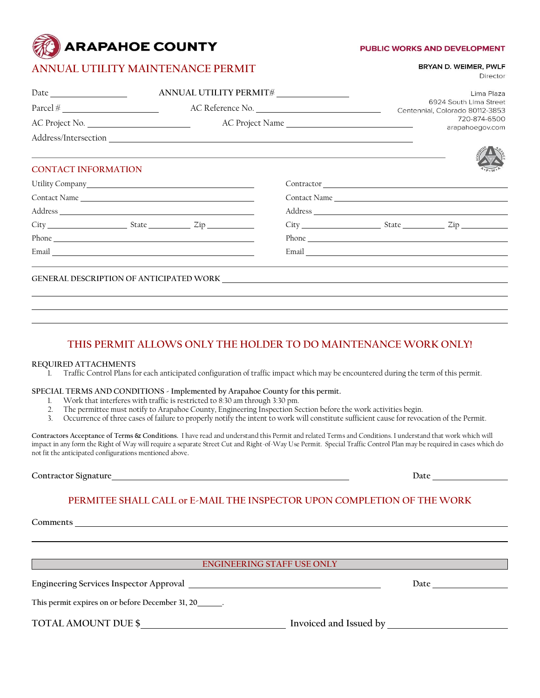# **ARAPAHOE COUNTY**

# **ANNUAL UTILITY MAINTENANCE PERMIT**

#### **PUBLIC WORKS AND DEVELOPMENT**

BRYAN D. WEIMER, PWLF

Director

| ANNUAL UTILITY PERMIT#     |                  |  |                                        | Lima Plaza                      |                                                                                                                                                                                                                                |  |
|----------------------------|------------------|--|----------------------------------------|---------------------------------|--------------------------------------------------------------------------------------------------------------------------------------------------------------------------------------------------------------------------------|--|
|                            | AC Reference No. |  |                                        |                                 | 6924 South Lima Street<br>Centennial, Colorado 80112-3853                                                                                                                                                                      |  |
| AC Project No.             |                  |  | AC Project Name                        | 720-874-6500<br>arapahoegov.com |                                                                                                                                                                                                                                |  |
|                            |                  |  |                                        |                                 |                                                                                                                                                                                                                                |  |
|                            |                  |  |                                        |                                 |                                                                                                                                                                                                                                |  |
| <b>CONTACT INFORMATION</b> |                  |  |                                        |                                 |                                                                                                                                                                                                                                |  |
|                            |                  |  | Contractor Lawrence and the contractor |                                 |                                                                                                                                                                                                                                |  |
| Contact Name               |                  |  |                                        |                                 | Contact Name                                                                                                                                                                                                                   |  |
|                            |                  |  |                                        |                                 |                                                                                                                                                                                                                                |  |
|                            |                  |  |                                        |                                 |                                                                                                                                                                                                                                |  |
|                            |                  |  |                                        |                                 | Phone expansion of the state of the state of the state of the state of the state of the state of the state of the state of the state of the state of the state of the state of the state of the state of the state of the stat |  |
|                            |                  |  |                                        |                                 |                                                                                                                                                                                                                                |  |
|                            |                  |  |                                        |                                 |                                                                                                                                                                                                                                |  |
|                            |                  |  |                                        |                                 |                                                                                                                                                                                                                                |  |
|                            |                  |  |                                        |                                 |                                                                                                                                                                                                                                |  |

# **THIS PERMIT ALLOWS ONLY THE HOLDER TO DO MAINTENANCE WORK ONLY!**

#### **REQUIRED ATTACHMENTS**

1. Traffic Control Plans for each anticipated configuration of traffic impact which may be encountered during the term of this permit.

#### **SPECIAL TERMS AND CONDITIONS - Implemented by Arapahoe County for this permit.**

- 1. Work that interferes with traffic is restricted to 8:30 am through 3:30 pm.<br>2. The permittee must notify to Arapahoe County. Engineering Inspection Se
- 2. The permittee must notify to Arapahoe County, Engineering Inspection Section before the work activities begin.
- 3. Occurrence of three cases of failure to properly notify the intent to work will constitute sufficient cause for revocation of the Permit.

**Contractors Acceptance of Terms & Conditions.** I have read and understand this Permit and related Terms and Conditions. I understand that work which will impact in any form the Right of Way will require a separate Street Cut and Right-of-Way Use Permit. Special Traffic Control Plan may be required in cases which do not fit the anticipated configurations mentioned above.

**Contractor Signature Date Date Date Date Date Date Date Date Date Date Date Date Date Date Date Date D** 

## **PERMITEE SHALL CALL or E-MAIL THE INSPECTOR UPON COMPLETION OF THE WORK**

**Comments** 

## **ENGINEERING STAFF USE ONLY**

**Engineering Services Inspector Approval discussed by a service of the services of Date Date** 

**This permit expires on or before December 31, 20 .**

TOTAL AMOUNT DUE \$